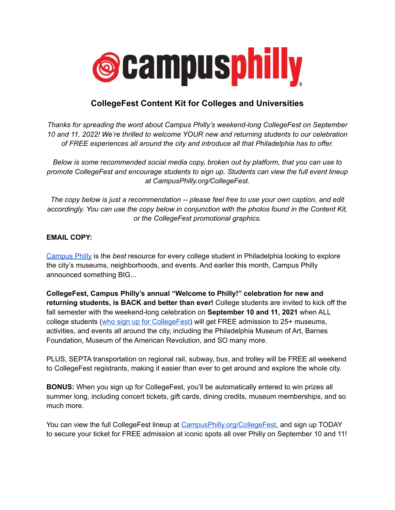

# **CollegeFest Content Kit for Colleges and Universities**

*Thanks for spreading the word about Campus Philly's weekend-long CollegeFest on September 10 and 11, 2022! We're thrilled to welcome YOUR new and returning students to our celebration of FREE experiences all around the city and introduce all that Philadelphia has to offer.*

*Below is some recommended social media copy, broken out by platform, that you can use to promote CollegeFest and encourage students to sign up. Students can view the full event lineup at CampusPhilly.org/CollegeFest.*

*The copy below is just a recommendation -- please feel free to use your own caption, and edit accordingly. You can use the copy below in conjunction with the photos found in the Content Kit, or the CollegeFest promotional graphics.*

## **EMAIL COPY:**

[Campus](http://www.campusphilly.org) Philly is the *best* resource for every college student in Philadelphia looking to explore the city's museums, neighborhoods, and events. And earlier this month, Campus Philly announced something BIG...

**CollegeFest, Campus Philly's annual "Welcome to Philly!" celebration for new and returning students, is BACK and better than ever!** College students are invited to kick off the fall semester with the weekend-long celebration on **September 10 and 11, 2021** when ALL college students (who sign up for [CollegeFest](https://bit.ly/3HokrAR)) will get FREE admission to 25+ museums, activities, and events all around the city, including the Philadelphia Museum of Art, Barnes Foundation, Museum of the American Revolution, and SO many more.

PLUS, SEPTA transportation on regional rail, subway, bus, and trolley will be FREE all weekend to CollegeFest registrants, making it easier than ever to get around and explore the whole city.

**BONUS:** When you sign up for CollegeFest, you'll be automatically entered to win prizes all summer long, including concert tickets, gift cards, dining credits, museum memberships, and so much more.

You can view the full CollegeFest lineup at [CampusPhilly.org/CollegeFest](https://bit.ly/3HokrAR), and sign up TODAY to secure your ticket for FREE admission at iconic spots all over Philly on September 10 and 11!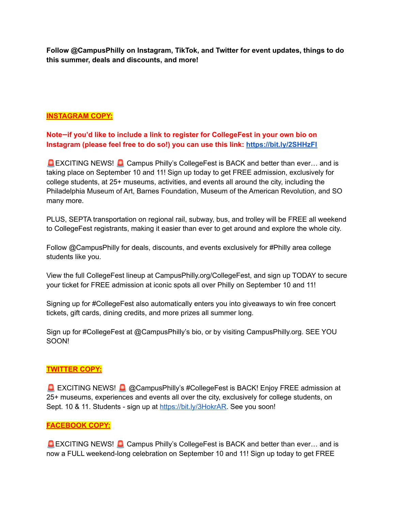**Follow @CampusPhilly on Instagram, TikTok, and Twitter for event updates, things to do this summer, deals and discounts, and more!**

## **INSTAGRAM COPY:**

# **Note—if you'd like to include a link to register for CollegeFest in your own bio on Instagram (please feel free to do so!) you can use this link: [https://bit.ly/2SHHzFI](https://bit.ly/3HokrAR)**

**EXCITING NEWS!** Campus Philly's CollegeFest is BACK and better than ever... and is taking place on September 10 and 11! Sign up today to get FREE admission, exclusively for college students, at 25+ museums, activities, and events all around the city, including the Philadelphia Museum of Art, Barnes Foundation, Museum of the American Revolution, and SO many more.

PLUS, SEPTA transportation on regional rail, subway, bus, and trolley will be FREE all weekend to CollegeFest registrants, making it easier than ever to get around and explore the whole city.

Follow @CampusPhilly for deals, discounts, and events exclusively for #Philly area college students like you.

View the full CollegeFest lineup at CampusPhilly.org/CollegeFest, and sign up TODAY to secure your ticket for FREE admission at iconic spots all over Philly on September 10 and 11!

Signing up for #CollegeFest also automatically enters you into giveaways to win free concert tickets, gift cards, dining credits, and more prizes all summer long.

Sign up for #CollegeFest at @CampusPhilly's bio, or by visiting CampusPhilly.org. SEE YOU SOON!

### **TWITTER COPY:**

**EXCITING NEWS! & @CampusPhilly's #CollegeFest is BACK! Enjoy FREE admission at** 25+ museums, experiences and events all over the city, exclusively for college students, on Sept. 10 & 11. Students - sign up at <https://bit.ly/3HokrAR>. See you soon!

### **FACEBOOK COPY:**

**EXCITING NEWS!** Campus Philly's CollegeFest is BACK and better than ever... and is now a FULL weekend-long celebration on September 10 and 11! Sign up today to get FREE